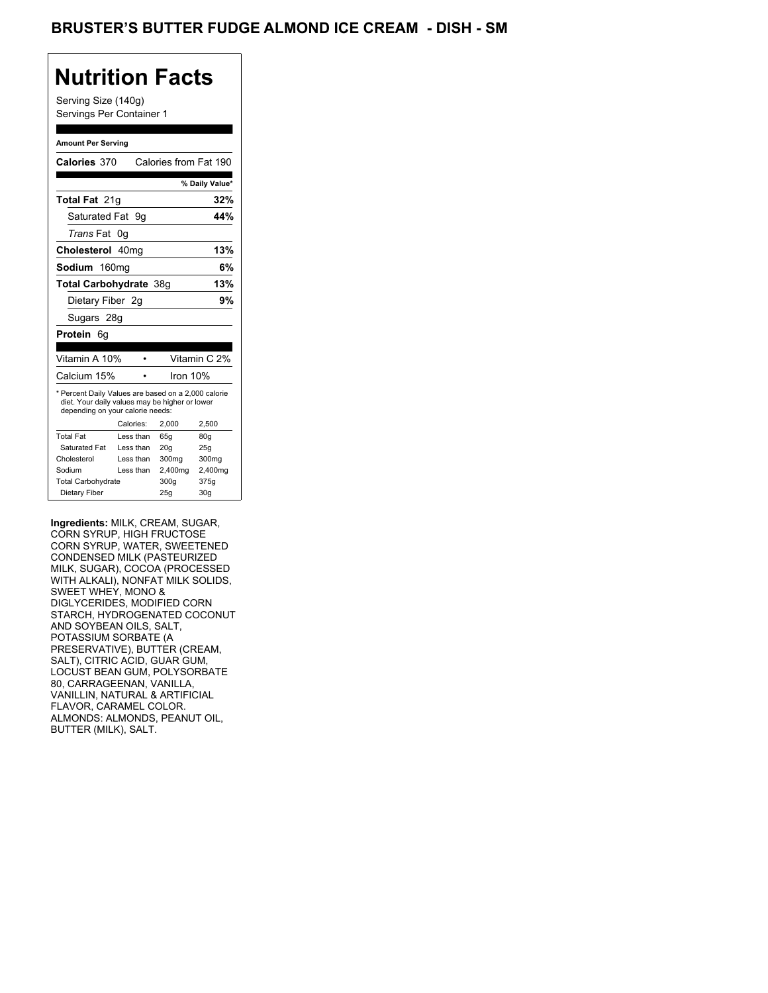## **Nutrition Facts**

Serving Size (140g) Servings Per Container 1

#### **Amount Per Serving**

| Calories 370                                                                                                                              |           | Calories from Fat 190 |                |
|-------------------------------------------------------------------------------------------------------------------------------------------|-----------|-----------------------|----------------|
|                                                                                                                                           |           |                       | % Daily Value* |
| <b>Total Fat 21g</b>                                                                                                                      |           |                       | 32%            |
| Saturated Fat 9q                                                                                                                          |           |                       | 44%            |
| <i>Trans</i> Fat                                                                                                                          | 0g        |                       |                |
| Cholesterol 40mg                                                                                                                          |           |                       | 13%            |
| Sodium 160mg                                                                                                                              |           |                       | 6%             |
| Total Carbohydrate 38q                                                                                                                    |           |                       | 13%            |
| Dietary Fiber 2g                                                                                                                          |           |                       | 9%             |
| Sugars 28g                                                                                                                                |           |                       |                |
| <b>Protein 6g</b>                                                                                                                         |           |                       |                |
|                                                                                                                                           |           |                       |                |
| Vitamin A 10%                                                                                                                             |           |                       | Vitamin C 2%   |
| Calcium 15%                                                                                                                               |           | Iron 10%              |                |
| * Percent Daily Values are based on a 2,000 calorie<br>diet. Your daily values may be higher or lower<br>depending on your calorie needs: |           |                       |                |
|                                                                                                                                           |           |                       |                |
|                                                                                                                                           | Calories: | 2.000                 | 2,500          |
| <b>Total Fat</b>                                                                                                                          | Less than | 65q                   | 80q            |
| Saturated Fat                                                                                                                             | Less than | 20q                   | 25q            |
| Cholesterol                                                                                                                               | Less than | 300 <sub>mg</sub>     | 300mg          |
| Sodium                                                                                                                                    | Less than | 2,400mg               | 2,400mg        |
| <b>Total Carbohydrate</b>                                                                                                                 |           | 300g                  | 375g           |

**Ingredients:** MILK, CREAM, SUGAR, CORN SYRUP, HIGH FRUCTOSE CORN SYRUP, WATER, SWEETENED CONDENSED MILK (PASTEURIZED MILK, SUGAR), COCOA (PROCESSED WITH ALKALI), NONFAT MILK SOLIDS, SWEET WHEY, MONO & DIGLYCERIDES, MODIFIED CORN STARCH, HYDROGENATED COCONUT AND SOYBEAN OILS, SALT, POTASSIUM SORBATE (A PRESERVATIVE), BUTTER (CREAM, SALT), CITRIC ACID, GUAR GUM, LOCUST BEAN GUM, POLYSORBATE 80, CARRAGEENAN, VANILLA, VANILLIN, NATURAL & ARTIFICIAL FLAVOR, CARAMEL COLOR. ALMONDS: ALMONDS, PEANUT OIL, BUTTER (MILK), SALT.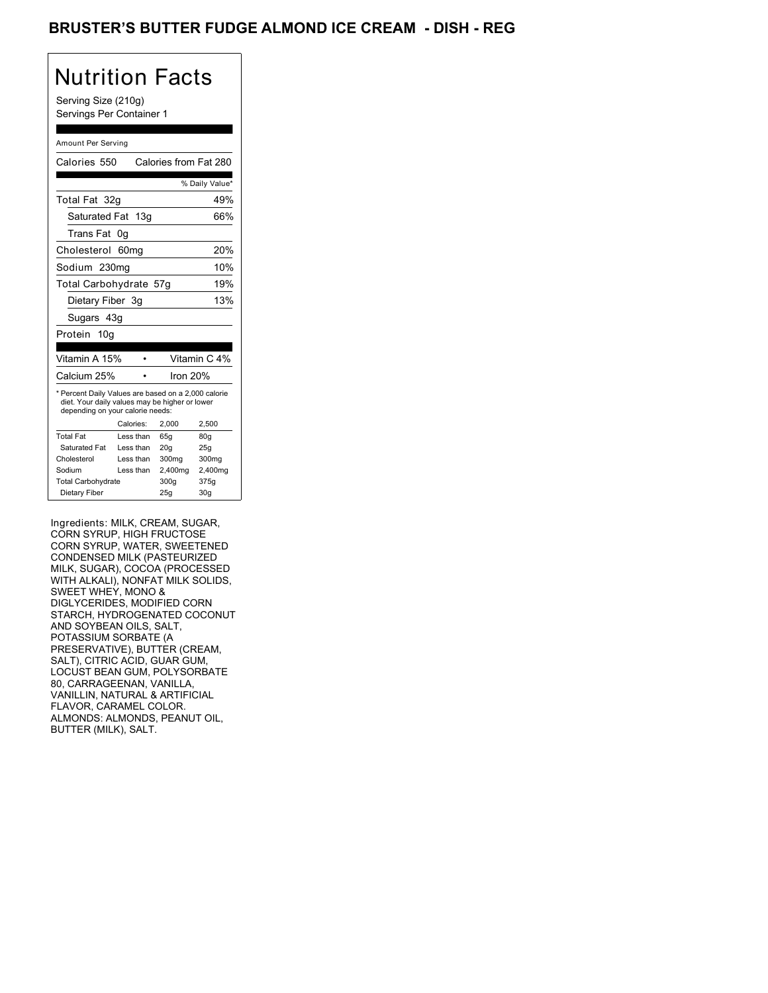## BRUSTER'S BUTTER FUDGE ALMOND ICE CREAM - DISH - REG

# Nutrition Facts

Serving Size (210g) Servings Per Container 1

#### Amount Per Serving

| Calories 550                                                                                                                              |                  | Calories from Fat 280 |                 |
|-------------------------------------------------------------------------------------------------------------------------------------------|------------------|-----------------------|-----------------|
|                                                                                                                                           |                  |                       |                 |
|                                                                                                                                           |                  |                       | % Daily Value*  |
| Total Fat 32g                                                                                                                             |                  |                       | 49%             |
| Saturated Fat 13g                                                                                                                         |                  |                       | 66%             |
| Trans Fat                                                                                                                                 | 0g               |                       |                 |
| Cholesterol                                                                                                                               | 60 <sub>mq</sub> |                       | 20%             |
| Sodium 230mg                                                                                                                              |                  |                       | 10%             |
| Total Carbohydrate 57g                                                                                                                    |                  |                       | 19%             |
| Dietary Fiber 3q                                                                                                                          |                  |                       | 13%             |
| Sugars 43g                                                                                                                                |                  |                       |                 |
| Protein 10g                                                                                                                               |                  |                       |                 |
|                                                                                                                                           |                  |                       |                 |
| Vitamin A 15%                                                                                                                             |                  |                       | Vitamin C 4%    |
| Calcium 25%                                                                                                                               |                  | Iron 20%              |                 |
| * Percent Daily Values are based on a 2,000 calorie<br>diet. Your daily values may be higher or lower<br>depending on your calorie needs: |                  |                       |                 |
|                                                                                                                                           | Calories:        | 2.000                 | 2,500           |
| <b>Total Fat</b>                                                                                                                          | Less than        | 65q                   | 80 <sub>g</sub> |
| Saturated Fat                                                                                                                             | Less than        | 20q                   | 25q             |
| Cholesterol                                                                                                                               | Less than        | 300mg                 | 300mg           |
| Sodium                                                                                                                                    | Less than        | 2,400mg               | 2,400mg         |
| <b>Total Carbohydrate</b>                                                                                                                 |                  | 300q                  | 375g            |
| Dietary Fiber                                                                                                                             |                  | 25g                   | 30 <sub>g</sub> |

Ingredients: MILK, CREAM, SUGAR, CORN SYRUP, HIGH FRUCTOSE CORN SYRUP, WATER, SWEETENED CONDENSED MILK (PASTEURIZED MILK, SUGAR), COCOA (PROCESSED WITH ALKALI), NONFAT MILK SOLIDS, SWEET WHEY, MONO & DIGLYCERIDES, MODIFIED CORN STARCH, HYDROGENATED COCONUT AND SOYBEAN OILS, SALT, POTASSIUM SORBATE (A PRESERVATIVE), BUTTER (CREAM, SALT), CITRIC ACID, GUAR GUM, LOCUST BEAN GUM, POLYSORBATE 80, CARRAGEENAN, VANILLA, VANILLIN, NATURAL & ARTIFICIAL FLAVOR, CARAMEL COLOR. ALMONDS: ALMONDS, PEANUT OIL, BUTTER (MILK), SALT.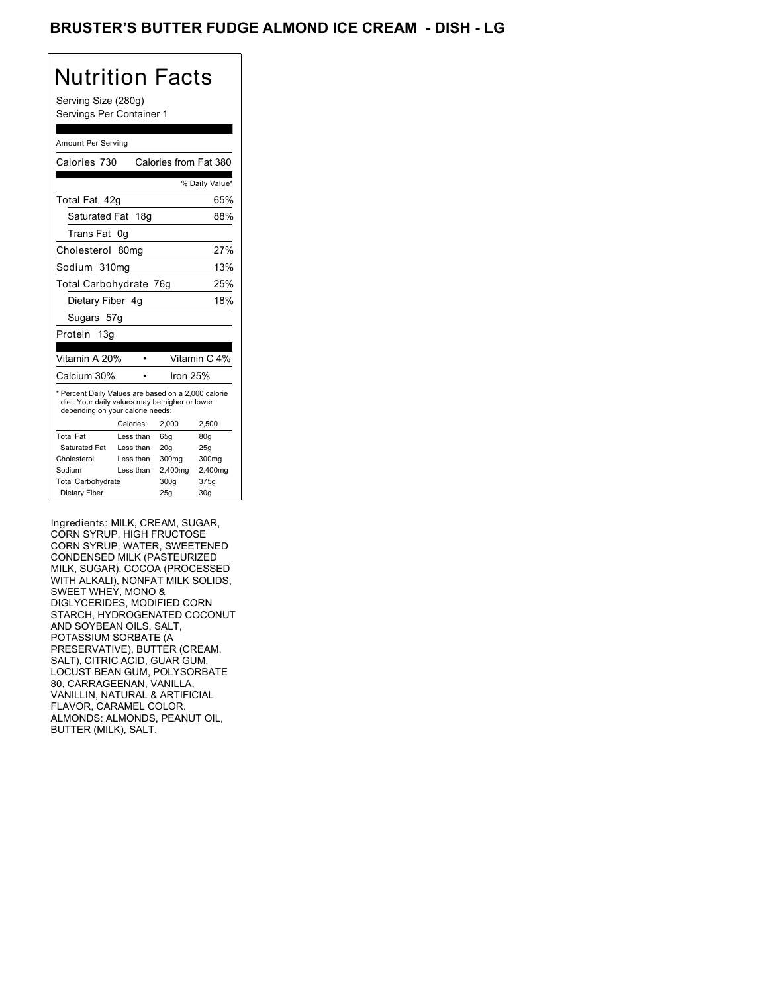## BRUSTER'S BUTTER FUDGE ALMOND ICE CREAM - DISH - LG

# Nutrition Facts

Serving Size (280g) Servings Per Container 1

#### Amount Per Serving

| Calories 730                                                                                                                              |                  | Calories from Fat 380 |                          |
|-------------------------------------------------------------------------------------------------------------------------------------------|------------------|-----------------------|--------------------------|
|                                                                                                                                           |                  |                       | % Daily Value*           |
| Total Fat 42q                                                                                                                             |                  |                       | 65%                      |
| Saturated Fat 18g                                                                                                                         |                  |                       | 88%                      |
| Trans Fat                                                                                                                                 | 0g               |                       |                          |
| Cholesterol                                                                                                                               | 80 <sub>mq</sub> |                       | 27%                      |
| Sodium 310mg                                                                                                                              |                  |                       | 13%                      |
| Total Carbohydrate 76q                                                                                                                    |                  |                       | 25%                      |
| Dietary Fiber 4g                                                                                                                          |                  |                       | 18%                      |
| Sugars 57g                                                                                                                                |                  |                       |                          |
| Protein 13g                                                                                                                               |                  |                       |                          |
|                                                                                                                                           |                  |                       |                          |
| Vitamin A 20%                                                                                                                             |                  |                       | Vitamin C <sub>4</sub> % |
| Calcium 30%                                                                                                                               |                  | Iron 25%              |                          |
| * Percent Daily Values are based on a 2,000 calorie<br>diet. Your daily values may be higher or lower<br>depending on your calorie needs: |                  |                       |                          |
|                                                                                                                                           | Calories:        | 2.000                 | 2,500                    |
| <b>Total Fat</b>                                                                                                                          | Less than        | 65q                   | 80q                      |
| Saturated Fat                                                                                                                             | Less than        | 20 <sub>g</sub>       | 25q                      |
| Cholesterol                                                                                                                               | Less than        | 300mg                 | 300mg                    |
| Sodium                                                                                                                                    | Less than        | 2,400mg               | 2,400mg                  |
| <b>Total Carbohydrate</b>                                                                                                                 |                  | 300g                  | 375g                     |
|                                                                                                                                           |                  |                       |                          |

Ingredients: MILK, CREAM, SUGAR, CORN SYRUP, HIGH FRUCTOSE CORN SYRUP, WATER, SWEETENED CONDENSED MILK (PASTEURIZED MILK, SUGAR), COCOA (PROCESSED WITH ALKALI), NONFAT MILK SOLIDS, SWEET WHEY, MONO & DIGLYCERIDES, MODIFIED CORN STARCH, HYDROGENATED COCONUT AND SOYBEAN OILS, SALT, POTASSIUM SORBATE (A PRESERVATIVE), BUTTER (CREAM, SALT), CITRIC ACID, GUAR GUM, LOCUST BEAN GUM, POLYSORBATE 80, CARRAGEENAN, VANILLA, VANILLIN, NATURAL & ARTIFICIAL FLAVOR, CARAMEL COLOR. ALMONDS: ALMONDS, PEANUT OIL, BUTTER (MILK), SALT.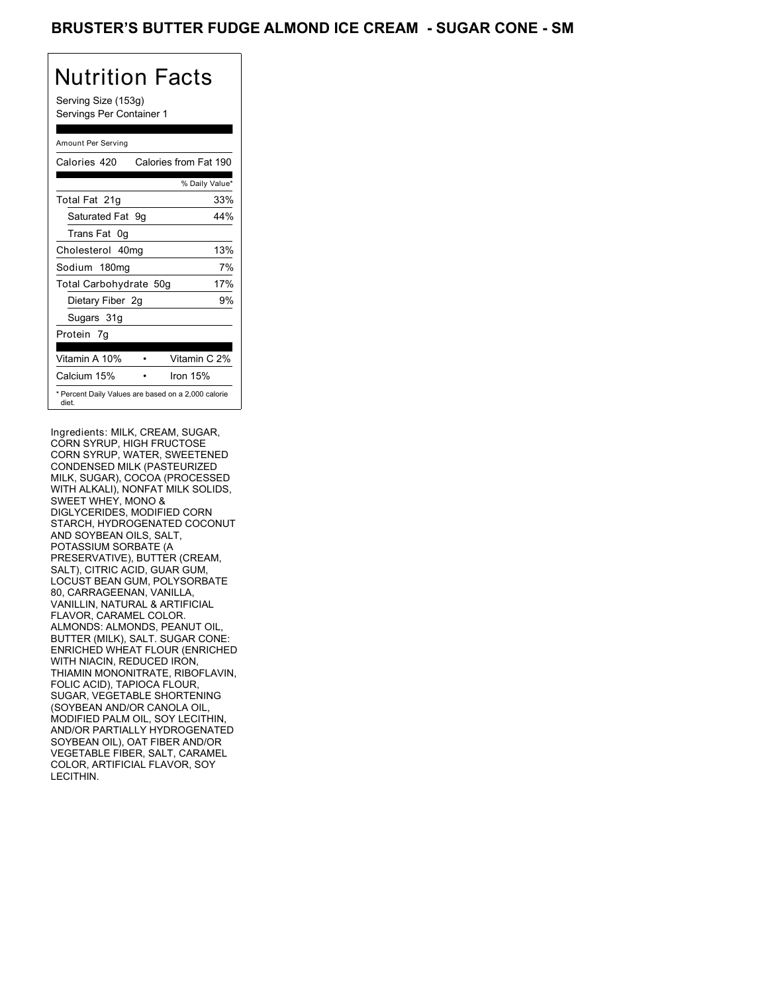### BRUSTER'S BUTTER FUDGE ALMOND ICE CREAM - SUGAR CONE - SM

# Nutrition Facts

Serving Size (153g) Servings Per Container 1

### Amount Per Serving

| Calories 420                                                 | Calories from Fat 190 |                |
|--------------------------------------------------------------|-----------------------|----------------|
|                                                              |                       | % Daily Value* |
| Total Fat 21g                                                |                       | 33%            |
| Saturated Fat 9g                                             |                       | 44%            |
| Trans Fat 0q                                                 |                       |                |
| Cholesterol 40mg                                             |                       | 13%            |
| Sodium 180mg                                                 |                       | 7%             |
| Total Carbohydrate 50g                                       |                       | 17%            |
| Dietary Fiber 2g                                             |                       | 9%             |
| Sugars 31g                                                   |                       |                |
| Protein 7g                                                   |                       |                |
| Vitamin A 10%                                                |                       | Vitamin C 2%   |
| Calcium 15%                                                  | Iron 15%              |                |
| * Percent Daily Values are based on a 2,000 calorie<br>diet. |                       |                |

Ingredients: MILK, CREAM, SUGAR, CORN SYRUP, HIGH FRUCTOSE CORN SYRUP, WATER, SWEETENED CONDENSED MILK (PASTEURIZED MILK, SUGAR), COCOA (PROCESSED WITH ALKALI), NONFAT MILK SOLIDS, SWEET WHEY, MONO & DIGLYCERIDES, MODIFIED CORN STARCH, HYDROGENATED COCONUT AND SOYBEAN OILS, SALT, POTASSIUM SORBATE (A PRESERVATIVE), BUTTER (CREAM, SALT), CITRIC ACID, GUAR GUM, LOCUST BEAN GUM, POLYSORBATE 80, CARRAGEENAN, VANILLA, VANILLIN, NATURAL & ARTIFICIAL FLAVOR, CARAMEL COLOR. ALMONDS: ALMONDS, PEANUT OIL, BUTTER (MILK), SALT. SUGAR CONE: ENRICHED WHEAT FLOUR (ENRICHED WITH NIACIN, REDUCED IRON, THIAMIN MONONITRATE, RIBOFLAVIN, FOLIC ACID), TAPIOCA FLOUR, SUGAR, VEGETABLE SHORTENING (SOYBEAN AND/OR CANOLA OIL, MODIFIED PALM OIL, SOY LECITHIN, AND/OR PARTIALLY HYDROGENATED SOYBEAN OIL), OAT FIBER AND/OR VEGETABLE FIBER, SALT, CARAMEL COLOR, ARTIFICIAL FLAVOR, SOY LECITHIN.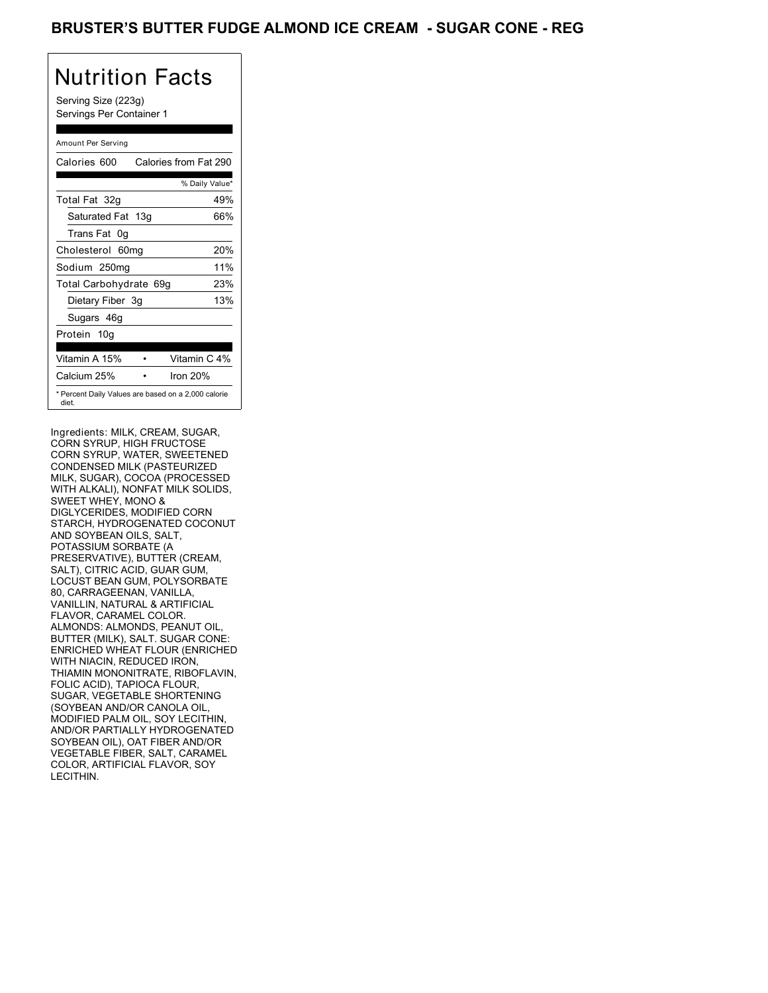### BRUSTER'S BUTTER FUDGE ALMOND ICE CREAM - SUGAR CONE - REG

## Nutrition Facts

Serving Size (223g) Servings Per Container 1

### Amount Per Serving

| Calories 600           | Calories from Fat 290                               |
|------------------------|-----------------------------------------------------|
|                        | % Daily Value*                                      |
| Total Fat 32g          | 49%                                                 |
| Saturated Fat 13g      | 66%                                                 |
| Trans Fat 0q           |                                                     |
| Cholesterol 60mg       | 20%                                                 |
| Sodium 250mg           | 11%                                                 |
| Total Carbohydrate 69g | 23%                                                 |
| Dietary Fiber 3g       | 13%                                                 |
| Sugars 46g             |                                                     |
| Protein 10g            |                                                     |
| Vitamin A 15%          | Vitamin C 4%                                        |
| Calcium 25%            | Iron 20%                                            |
| diet.                  | * Percent Daily Values are based on a 2,000 calorie |

Ingredients: MILK, CREAM, SUGAR, CORN SYRUP, HIGH FRUCTOSE CORN SYRUP, WATER, SWEETENED CONDENSED MILK (PASTEURIZED MILK, SUGAR), COCOA (PROCESSED WITH ALKALI), NONFAT MILK SOLIDS, SWEET WHEY, MONO & DIGLYCERIDES, MODIFIED CORN STARCH, HYDROGENATED COCONUT AND SOYBEAN OILS, SALT, POTASSIUM SORBATE (A PRESERVATIVE), BUTTER (CREAM, SALT), CITRIC ACID, GUAR GUM, LOCUST BEAN GUM, POLYSORBATE 80, CARRAGEENAN, VANILLA, VANILLIN, NATURAL & ARTIFICIAL FLAVOR, CARAMEL COLOR. ALMONDS: ALMONDS, PEANUT OIL, BUTTER (MILK), SALT. SUGAR CONE: ENRICHED WHEAT FLOUR (ENRICHED WITH NIACIN, REDUCED IRON, THIAMIN MONONITRATE, RIBOFLAVIN, FOLIC ACID), TAPIOCA FLOUR, SUGAR, VEGETABLE SHORTENING (SOYBEAN AND/OR CANOLA OIL, MODIFIED PALM OIL, SOY LECITHIN, AND/OR PARTIALLY HYDROGENATED SOYBEAN OIL), OAT FIBER AND/OR VEGETABLE FIBER, SALT, CARAMEL COLOR, ARTIFICIAL FLAVOR, SOY LECITHIN.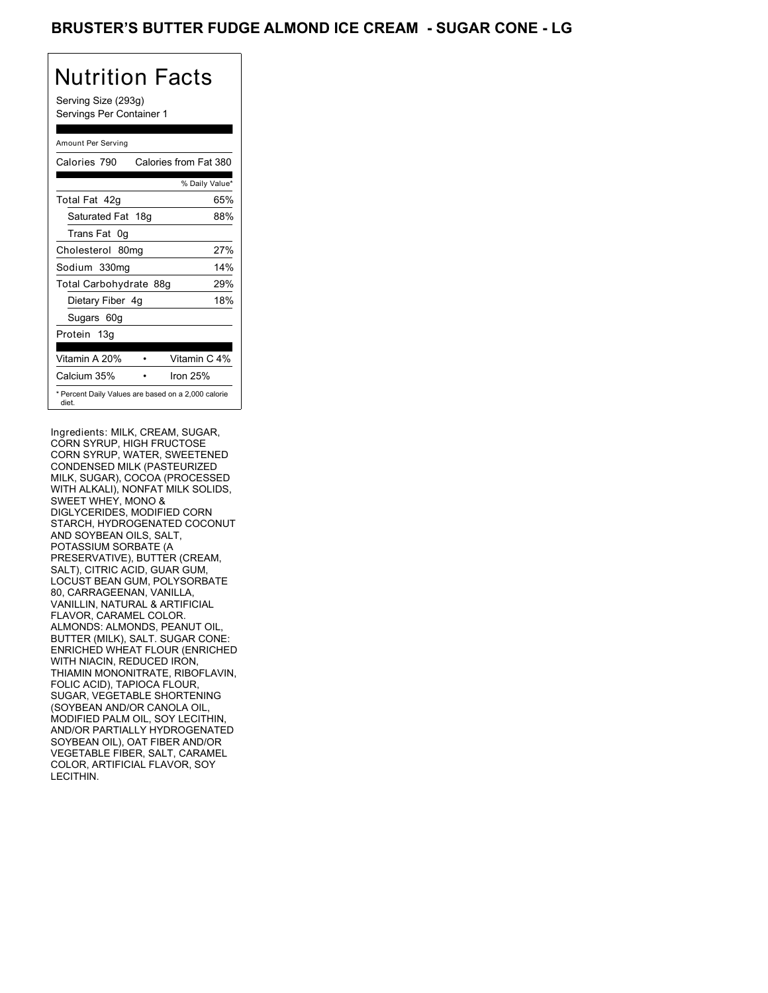## BRUSTER'S BUTTER FUDGE ALMOND ICE CREAM - SUGAR CONE - LG

# Nutrition Facts

Serving Size (293g) Servings Per Container 1

### Amount Per Serving

| Calories 790           | Calories from Fat 380                               |
|------------------------|-----------------------------------------------------|
|                        | % Daily Value*                                      |
| Total Fat 42q          | 65%                                                 |
| Saturated Fat 18g      | 88%                                                 |
| Trans Fat 0q           |                                                     |
| Cholesterol 80mg       | 27%                                                 |
| Sodium 330mg           | 14%                                                 |
| Total Carbohydrate 88g | 29%                                                 |
| Dietary Fiber 4g       | 18%                                                 |
| Sugars 60g             |                                                     |
| Protein 13g            |                                                     |
| Vitamin A 20%          | Vitamin C 4%                                        |
| Calcium 35%            | Iron 25%                                            |
| diet.                  | * Percent Daily Values are based on a 2,000 calorie |

Ingredients: MILK, CREAM, SUGAR, CORN SYRUP, HIGH FRUCTOSE CORN SYRUP, WATER, SWEETENED CONDENSED MILK (PASTEURIZED MILK, SUGAR), COCOA (PROCESSED WITH ALKALI), NONFAT MILK SOLIDS, SWEET WHEY, MONO & DIGLYCERIDES, MODIFIED CORN STARCH, HYDROGENATED COCONUT AND SOYBEAN OILS, SALT, POTASSIUM SORBATE (A PRESERVATIVE), BUTTER (CREAM, SALT), CITRIC ACID, GUAR GUM, LOCUST BEAN GUM, POLYSORBATE 80, CARRAGEENAN, VANILLA, VANILLIN, NATURAL & ARTIFICIAL FLAVOR, CARAMEL COLOR. ALMONDS: ALMONDS, PEANUT OIL, BUTTER (MILK), SALT. SUGAR CONE: ENRICHED WHEAT FLOUR (ENRICHED WITH NIACIN, REDUCED IRON, THIAMIN MONONITRATE, RIBOFLAVIN, FOLIC ACID), TAPIOCA FLOUR, SUGAR, VEGETABLE SHORTENING (SOYBEAN AND/OR CANOLA OIL, MODIFIED PALM OIL, SOY LECITHIN, AND/OR PARTIALLY HYDROGENATED SOYBEAN OIL), OAT FIBER AND/OR VEGETABLE FIBER, SALT, CARAMEL COLOR, ARTIFICIAL FLAVOR, SOY LECITHIN.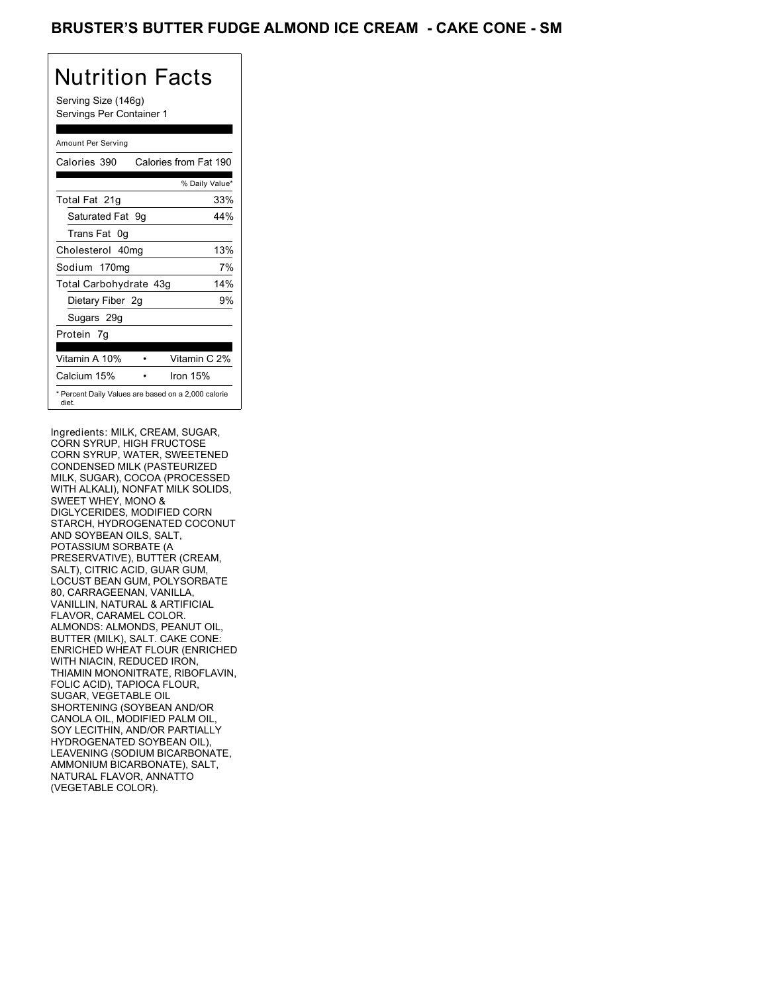## BRUSTER'S BUTTER FUDGE ALMOND ICE CREAM - CAKE CONE - SM

# Nutrition Facts

Serving Size (146g) Servings Per Container 1

### Amount Per Serving

| Calories 390           | Calories from Fat 190                               |
|------------------------|-----------------------------------------------------|
|                        | % Daily Value*                                      |
| Total Fat 21g          | 33%                                                 |
| Saturated Fat 9q       | 44%                                                 |
| Trans Fat 0q           |                                                     |
| Cholesterol 40mg       | 13%                                                 |
| Sodium 170mg           | 7%                                                  |
| Total Carbohydrate 43g | 14%                                                 |
| Dietary Fiber 2g       | 9%                                                  |
| Sugars 29g             |                                                     |
| Protein 7g             |                                                     |
|                        |                                                     |
| Vitamin A 10%          | Vitamin C 2%                                        |
| Calcium 15%            | Iron 15%                                            |
| diet.                  | * Percent Daily Values are based on a 2,000 calorie |

Ingredients: MILK, CREAM, SUGAR, CORN SYRUP, HIGH FRUCTOSE CORN SYRUP, WATER, SWEETENED CONDENSED MILK (PASTEURIZED MILK, SUGAR), COCOA (PROCESSED WITH ALKALI), NONFAT MILK SOLIDS, SWEET WHEY, MONO & DIGLYCERIDES, MODIFIED CORN STARCH, HYDROGENATED COCONUT AND SOYBEAN OILS, SALT, POTASSIUM SORBATE (A PRESERVATIVE), BUTTER (CREAM, SALT), CITRIC ACID, GUAR GUM, LOCUST BEAN GUM, POLYSORBATE 80, CARRAGEENAN, VANILLA, VANILLIN, NATURAL & ARTIFICIAL FLAVOR, CARAMEL COLOR. ALMONDS: ALMONDS, PEANUT OIL, BUTTER (MILK), SALT. CAKE CONE: ENRICHED WHEAT FLOUR (ENRICHED WITH NIACIN, REDUCED IRON, THIAMIN MONONITRATE, RIBOFLAVIN, FOLIC ACID), TAPIOCA FLOUR, SUGAR, VEGETABLE OIL SHORTENING (SOYBEAN AND/OR CANOLA OIL, MODIFIED PALM OIL, SOY LECITHIN, AND/OR PARTIALLY HYDROGENATED SOYBEAN OIL), LEAVENING (SODIUM BICARBONATE, AMMONIUM BICARBONATE), SALT, NATURAL FLAVOR, ANNATTO (VEGETABLE COLOR).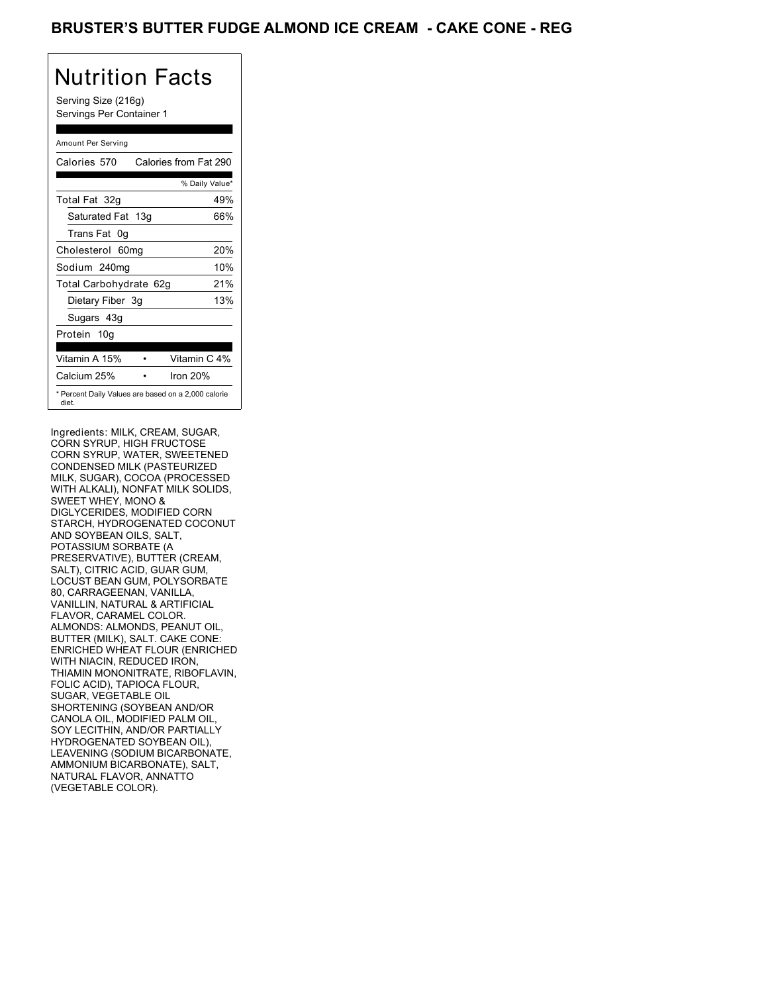## BRUSTER'S BUTTER FUDGE ALMOND ICE CREAM **- CAKE CONE - REG**

# Nutrition Facts

Serving Size (216g) Servings Per Container 1

### Amount Per Serving

| Calories 570           | Calories from Fat 290                               |
|------------------------|-----------------------------------------------------|
|                        | % Daily Value*                                      |
| Total Fat 32g          | 49%                                                 |
| Saturated Fat 13g      | 66%                                                 |
| Trans Fat 0q           |                                                     |
| Cholesterol 60mg       | 20%                                                 |
| Sodium 240mg           | 10%                                                 |
| Total Carbohydrate 62g | 21%                                                 |
| Dietary Fiber 3g       | 13%                                                 |
| Sugars 43g             |                                                     |
| Protein 10g            |                                                     |
| Vitamin A 15%          | Vitamin C 4%                                        |
| Calcium 25%            | Iron 20%                                            |
| diet.                  | * Percent Daily Values are based on a 2,000 calorie |

Ingredients: MILK, CREAM, SUGAR, CORN SYRUP, HIGH FRUCTOSE CORN SYRUP, WATER, SWEETENED CONDENSED MILK (PASTEURIZED MILK, SUGAR), COCOA (PROCESSED WITH ALKALI), NONFAT MILK SOLIDS, SWEET WHEY, MONO & DIGLYCERIDES, MODIFIED CORN STARCH, HYDROGENATED COCONUT AND SOYBEAN OILS, SALT, POTASSIUM SORBATE (A PRESERVATIVE), BUTTER (CREAM, SALT), CITRIC ACID, GUAR GUM, LOCUST BEAN GUM, POLYSORBATE 80, CARRAGEENAN, VANILLA, VANILLIN, NATURAL & ARTIFICIAL FLAVOR, CARAMEL COLOR. ALMONDS: ALMONDS, PEANUT OIL, BUTTER (MILK), SALT. CAKE CONE: ENRICHED WHEAT FLOUR (ENRICHED WITH NIACIN, REDUCED IRON, THIAMIN MONONITRATE, RIBOFLAVIN, FOLIC ACID), TAPIOCA FLOUR, SUGAR, VEGETABLE OIL SHORTENING (SOYBEAN AND/OR CANOLA OIL, MODIFIED PALM OIL, SOY LECITHIN, AND/OR PARTIALLY HYDROGENATED SOYBEAN OIL), LEAVENING (SODIUM BICARBONATE, AMMONIUM BICARBONATE), SALT, NATURAL FLAVOR, ANNATTO (VEGETABLE COLOR).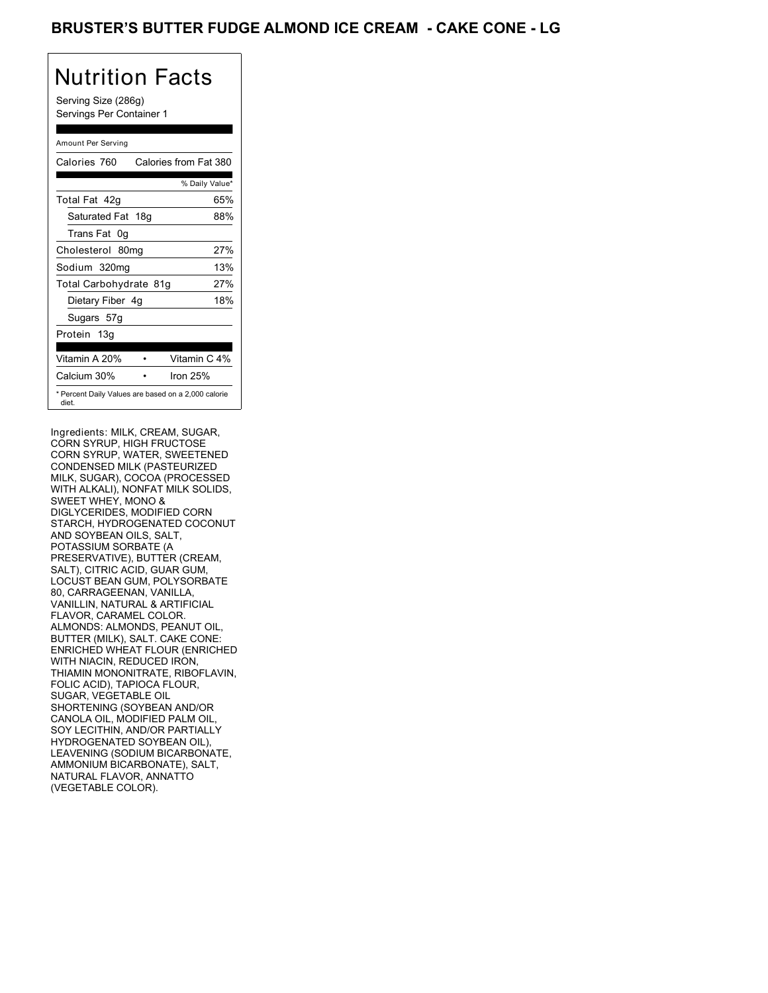## BRUSTER'S BUTTER FUDGE ALMOND ICE CREAM - CAKE CONE - LG

# Nutrition Facts

Serving Size (286g) Servings Per Container 1

### Amount Per Serving

| Calories 760           | Calories from Fat 380                               |
|------------------------|-----------------------------------------------------|
|                        | % Daily Value*                                      |
| Total Fat 42q          | 65%                                                 |
| Saturated Fat 18g      | 88%                                                 |
| Trans Fat 0q           |                                                     |
| Cholesterol 80mg       | 27%                                                 |
| Sodium 320mg           | 13%                                                 |
| Total Carbohydrate 81g | 27%                                                 |
| Dietary Fiber 4g       | 18%                                                 |
| Sugars 57g             |                                                     |
| Protein 13g            |                                                     |
|                        |                                                     |
| Vitamin A 20%          | Vitamin C 4%                                        |
| Calcium 30%            | Iron 25%                                            |
| diet.                  | * Percent Daily Values are based on a 2,000 calorie |

Ingredients: MILK, CREAM, SUGAR, CORN SYRUP, HIGH FRUCTOSE CORN SYRUP, WATER, SWEETENED CONDENSED MILK (PASTEURIZED MILK, SUGAR), COCOA (PROCESSED WITH ALKALI), NONFAT MILK SOLIDS, SWEET WHEY, MONO & DIGLYCERIDES, MODIFIED CORN STARCH, HYDROGENATED COCONUT AND SOYBEAN OILS, SALT, POTASSIUM SORBATE (A PRESERVATIVE), BUTTER (CREAM, SALT), CITRIC ACID, GUAR GUM, LOCUST BEAN GUM, POLYSORBATE 80, CARRAGEENAN, VANILLA, VANILLIN, NATURAL & ARTIFICIAL FLAVOR, CARAMEL COLOR. ALMONDS: ALMONDS, PEANUT OIL, BUTTER (MILK), SALT. CAKE CONE: ENRICHED WHEAT FLOUR (ENRICHED WITH NIACIN, REDUCED IRON, THIAMIN MONONITRATE, RIBOFLAVIN, FOLIC ACID), TAPIOCA FLOUR, SUGAR, VEGETABLE OIL SHORTENING (SOYBEAN AND/OR CANOLA OIL, MODIFIED PALM OIL, SOY LECITHIN, AND/OR PARTIALLY HYDROGENATED SOYBEAN OIL), LEAVENING (SODIUM BICARBONATE, AMMONIUM BICARBONATE), SALT, NATURAL FLAVOR, ANNATTO (VEGETABLE COLOR).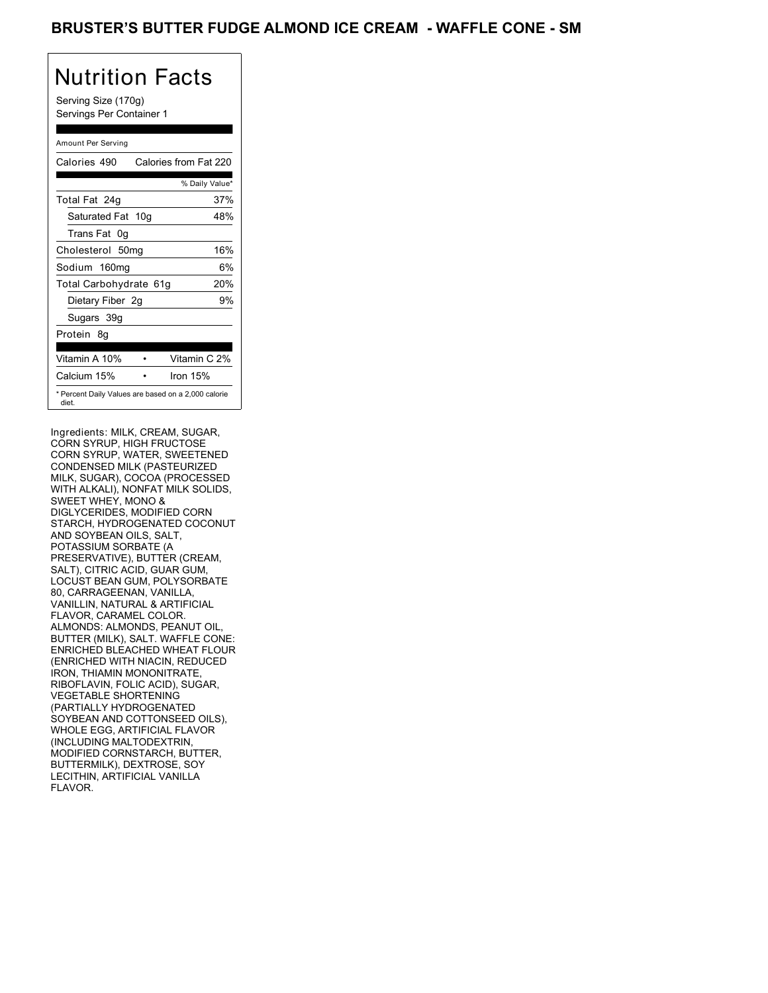## BRUSTER'S BUTTER FUDGE ALMOND ICE CREAM - WAFFLE CONE - SM

# Nutrition Facts

Serving Size (170g) Servings Per Container 1

### Amount Per Serving

| Calories 490           | Calories from Fat 220                               |
|------------------------|-----------------------------------------------------|
|                        | % Daily Value*                                      |
| Total Fat 24g          | 37%                                                 |
| Saturated Fat 10g      | 48%                                                 |
| Trans Fat 0q           |                                                     |
| Cholesterol 50mg       | 16%                                                 |
| Sodium 160mg           | 6%                                                  |
| Total Carbohydrate 61g | 20%                                                 |
| Dietary Fiber 2g       | 9%                                                  |
| Sugars 39g             |                                                     |
| Protein 8q             |                                                     |
| Vitamin A 10%          | Vitamin C 2%                                        |
| Calcium 15%            | Iron 15%                                            |
| diet.                  | * Percent Daily Values are based on a 2,000 calorie |

Ingredients: MILK, CREAM, SUGAR, CORN SYRUP, HIGH FRUCTOSE CORN SYRUP, WATER, SWEETENED CONDENSED MILK (PASTEURIZED MILK, SUGAR), COCOA (PROCESSED WITH ALKALI), NONFAT MILK SOLIDS, SWEET WHEY, MONO & DIGLYCERIDES, MODIFIED CORN STARCH, HYDROGENATED COCONUT AND SOYBEAN OILS, SALT, POTASSIUM SORBATE (A PRESERVATIVE), BUTTER (CREAM, SALT), CITRIC ACID, GUAR GUM, LOCUST BEAN GUM, POLYSORBATE 80, CARRAGEENAN, VANILLA, VANILLIN, NATURAL & ARTIFICIAL FLAVOR, CARAMEL COLOR. ALMONDS: ALMONDS, PEANUT OIL, BUTTER (MILK), SALT. WAFFLE CONE: ENRICHED BLEACHED WHEAT FLOUR (ENRICHED WITH NIACIN, REDUCED IRON, THIAMIN MONONITRATE, RIBOFLAVIN, FOLIC ACID), SUGAR, VEGETABLE SHORTENING (PARTIALLY HYDROGENATED SOYBEAN AND COTTONSEED OILS), WHOLE EGG, ARTIFICIAL FLAVOR (INCLUDING MALTODEXTRIN, MODIFIED CORNSTARCH, BUTTER, BUTTERMILK), DEXTROSE, SOY LECITHIN, ARTIFICIAL VANILLA FLAVOR.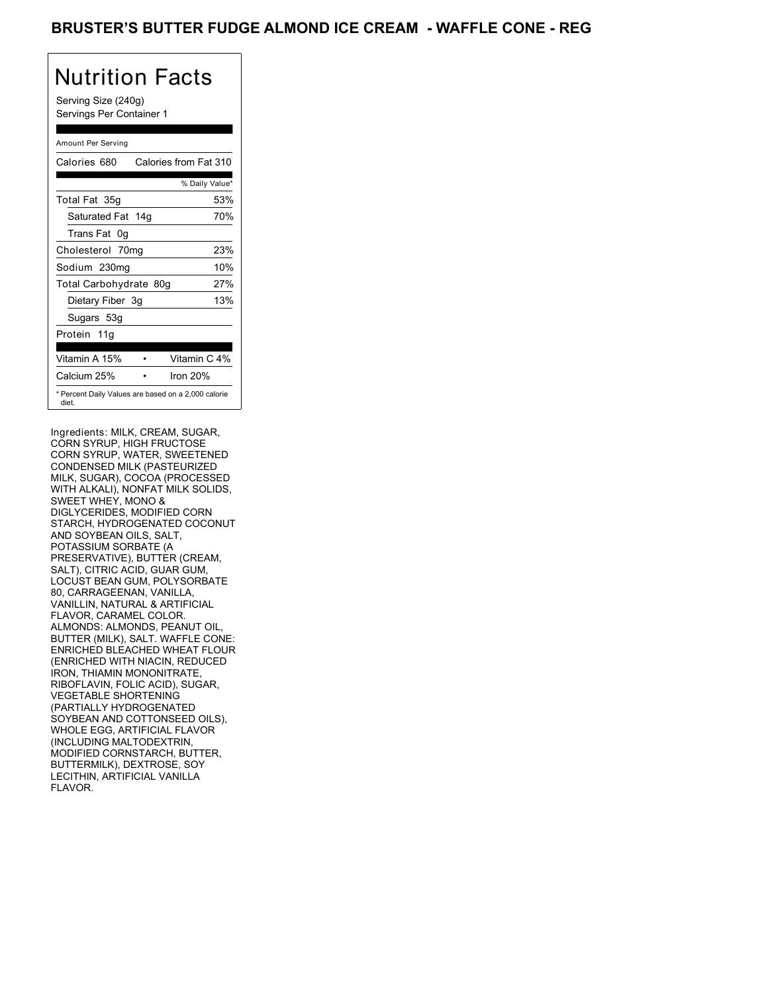## BRUSTER'S BUTTER FUDGE ALMOND ICE CREAM - WAFFLE CONE - REG

# Nutrition Facts

Serving Size (240g) Servings Per Container 1

### Amount Per Serving

| Calories 680           | Calories from Fat 310                               |
|------------------------|-----------------------------------------------------|
|                        | % Daily Value*                                      |
| Total Fat 35g          | 53%                                                 |
| Saturated Fat 14g      | 70%                                                 |
| Trans Fat 0g           |                                                     |
| Cholesterol 70mg       | 23%                                                 |
| Sodium 230mg           | 10%                                                 |
| Total Carbohydrate 80g | 27%                                                 |
| Dietary Fiber 3g       | 13%                                                 |
| Sugars 53g             |                                                     |
| Protein 11g            |                                                     |
| Vitamin A 15%          | Vitamin C 4%                                        |
| Calcium 25%            | Iron 20%                                            |
| diet.                  | * Percent Daily Values are based on a 2,000 calorie |

Ingredients: MILK, CREAM, SUGAR, CORN SYRUP, HIGH FRUCTOSE CORN SYRUP, WATER, SWEETENED CONDENSED MILK (PASTEURIZED MILK, SUGAR), COCOA (PROCESSED WITH ALKALI), NONFAT MILK SOLIDS, SWEET WHEY, MONO & DIGLYCERIDES, MODIFIED CORN STARCH, HYDROGENATED COCONUT AND SOYBEAN OILS, SALT, POTASSIUM SORBATE (A PRESERVATIVE), BUTTER (CREAM, SALT), CITRIC ACID, GUAR GUM, LOCUST BEAN GUM, POLYSORBATE 80, CARRAGEENAN, VANILLA, VANILLIN, NATURAL & ARTIFICIAL FLAVOR, CARAMEL COLOR. ALMONDS: ALMONDS, PEANUT OIL, BUTTER (MILK), SALT. WAFFLE CONE: ENRICHED BLEACHED WHEAT FLOUR (ENRICHED WITH NIACIN, REDUCED IRON, THIAMIN MONONITRATE RIBOFLAVIN, FOLIC ACID), SUGAR, VEGETABLE SHORTENING (PARTIALLY HYDROGENATED SOYBEAN AND COTTONSEED OILS), WHOLE EGG, ARTIFICIAL FLAVOR (INCLUDING MALTODEXTRIN, MODIFIED CORNSTARCH, BUTTER, BUTTERMILK), DEXTROSE, SOY LECITHIN, ARTIFICIAL VANILLA FLAVOR.